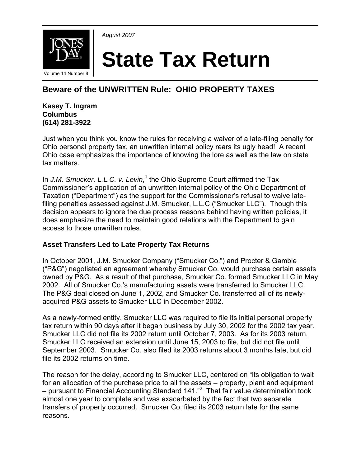



# **State Tax Return**

# **Beware of the UNWRITTEN Rule: OHIO PROPERTY TAXES**

**Kasey T. Ingram Columbus (614) 281-3922**

Just when you think you know the rules for receiving a waiver of a late-filing penalty for Ohio personal property tax, an unwritten internal policy rears its ugly head! A recent Ohio case emphasizes the importance of knowing the lore as well as the law on state tax matters.

In J.M. Smucker, L.L.C. v. Levin,<sup>1</sup> the Ohio Supreme Court affirmed the Tax Commissioner's application of an unwritten internal policy of the Ohio Department of Taxation ("Department") as the support for the Commissioner's refusal to waive latefiling penalties assessed against J.M. Smucker, L.L.C ("Smucker LLC"). Though this decision appears to ignore the due process reasons behind having written policies, it does emphasize the need to maintain good relations with the Department to gain access to those unwritten rules.

## **Asset Transfers Led to Late Property Tax Returns**

In October 2001, J.M. Smucker Company ("Smucker Co.") and Procter & Gamble ("P&G") negotiated an agreement whereby Smucker Co. would purchase certain assets owned by P&G. As a result of that purchase, Smucker Co. formed Smucker LLC in May 2002. All of Smucker Co.'s manufacturing assets were transferred to Smucker LLC. The P&G deal closed on June 1, 2002, and Smucker Co. transferred all of its newlyacquired P&G assets to Smucker LLC in December 2002.

As a newly-formed entity, Smucker LLC was required to file its initial personal property tax return within 90 days after it began business by July 30, 2002 for the 2002 tax year. Smucker LLC did not file its 2002 return until October 7, 2003. As for its 2003 return, Smucker LLC received an extension until June 15, 2003 to file, but did not file until September 2003. Smucker Co. also filed its 2003 returns about 3 months late, but did file its 2002 returns on time.

The reason for the delay, according to Smucker LLC, centered on "its obligation to wait for an allocation of the purchase price to all the assets – property, plant and equipment – pursuant to Financial Accounting Standard 141."<sup>2</sup> That fair value determination took almost one year to complete and was exacerbated by the fact that two separate transfers of property occurred. Smucker Co. filed its 2003 return late for the same reasons.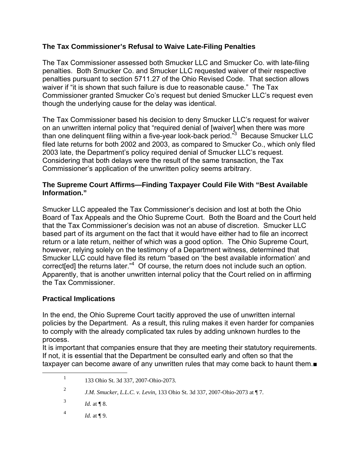#### **The Tax Commissioner's Refusal to Waive Late-Filing Penalties**

The Tax Commissioner assessed both Smucker LLC and Smucker Co. with late-filing penalties. Both Smucker Co. and Smucker LLC requested waiver of their respective penalties pursuant to section 5711.27 of the Ohio Revised Code. That section allows waiver if "it is shown that such failure is due to reasonable cause." The Tax Commissioner granted Smucker Co's request but denied Smucker LLC's request even though the underlying cause for the delay was identical.

The Tax Commissioner based his decision to deny Smucker LLC's request for waiver on an unwritten internal policy that "required denial of [waiver] when there was more than one delinquent filing within a five-year look-back period."3 Because Smucker LLC filed late returns for both 2002 and 2003, as compared to Smucker Co., which only filed 2003 late, the Department's policy required denial of Smucker LLC's request. Considering that both delays were the result of the same transaction, the Tax Commissioner's application of the unwritten policy seems arbitrary.

#### **The Supreme Court Affirms—Finding Taxpayer Could File With "Best Available Information."**

Smucker LLC appealed the Tax Commissioner's decision and lost at both the Ohio Board of Tax Appeals and the Ohio Supreme Court. Both the Board and the Court held that the Tax Commissioner's decision was not an abuse of discretion. Smucker LLC based part of its argument on the fact that it would have either had to file an incorrect return or a late return, neither of which was a good option. The Ohio Supreme Court, however, relying solely on the testimony of a Department witness, determined that Smucker LLC could have filed its return "based on 'the best available information' and correct[ed] the returns later."<sup>4</sup> Of course, the return does not include such an option. Apparently, that is another unwritten internal policy that the Court relied on in affirming the Tax Commissioner.

## **Practical Implications**

In the end, the Ohio Supreme Court tacitly approved the use of unwritten internal policies by the Department. As a result, this ruling makes it even harder for companies to comply with the already complicated tax rules by adding unknown hurdles to the process.

It is important that companies ensure that they are meeting their statutory requirements. If not, it is essential that the Department be consulted early and often so that the taxpayer can become aware of any unwritten rules that may come back to haunt them.■

4 *Id.* at ¶ 9.

<sup>&</sup>lt;u>1</u> 133 Ohio St. 3d 337, 2007-Ohio-2073.

<sup>2</sup> *J.M. Smucker, L.L.C. v. Levin*, 133 Ohio St. 3d 337, 2007-Ohio-2073 at ¶ 7.

<sup>3</sup> *Id.* at **[** $\sqrt{8}$ .